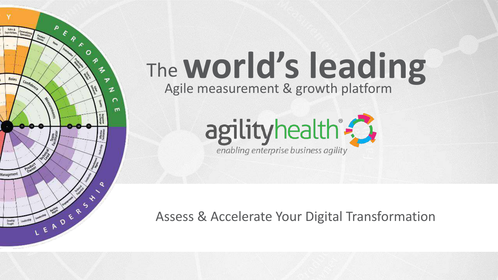

A

LEADERS &

**Splay &** 

Expectations

Roles

Management

Generations

Confider

 $\epsilon$ 

 $\star$ 

 $\circ$ 

A

z

m



Assess & Accelerate Your Digital Transformation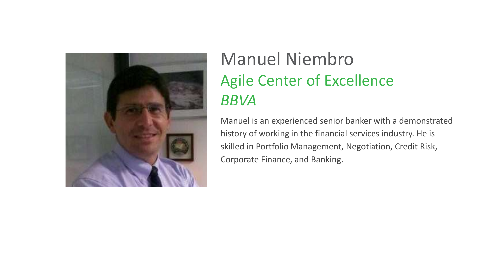

#### Manuel Niembro Agile Center of Excellence *BBVA*

Manuel is an experienced senior banker with a demonstrated history of working in the financial services industry. He is skilled in Portfolio Management, Negotiation, Credit Risk, Corporate Finance, and Banking.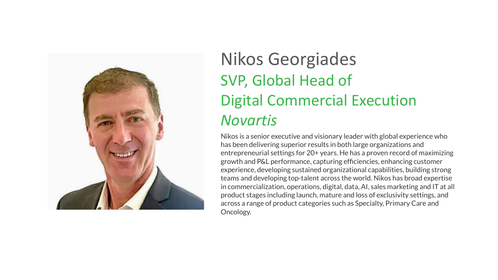

#### Nikos Georgiades SVP, Global Head of Digital Commercial Execution *Novartis*

Nikos is a senior executive and visionary leader with global experience who has been delivering superior results in both large organizations and entrepreneurial settings for 20+ years. He has a proven record of maximizing growth and P&L performance, capturing efficiencies, enhancing customer experience, developing sustained organizational capabilities, building strong teams and developing top-talent across the world. Nikos has broad expertise in commercialization, operations, digital, data, AI, sales marketing and IT at all product stages including launch, mature and loss of exclusivity settings, and across a range of product categories such as Specialty, Primary Care and Oncology.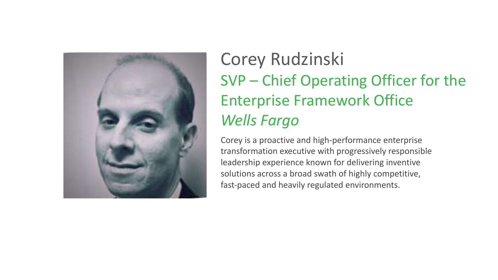

### Corey Rudzinski SVP – Chief Operating Officer for the Enterprise Framework Office *Wells Fargo*

Corey is a proactive and high-performance enterprise transformation executive with progressively responsible leadership experience known for delivering inventive solutions across a broad swath of highly competitive, fast-paced and heavily regulated environments.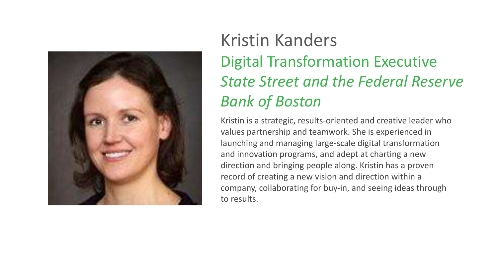

### Kristin Kanders Digital Transformation Executive *State Street and the Federal Reserve Bank of Boston*

Kristin is a strategic, results-oriented and creative leader who values partnership and teamwork. She is experienced in launching and managing large-scale digital transformation and innovation programs, and adept at charting a new direction and bringing people along. Kristin has a proven record of creating a new vision and direction within a company, collaborating for buy-in, and seeing ideas through to results.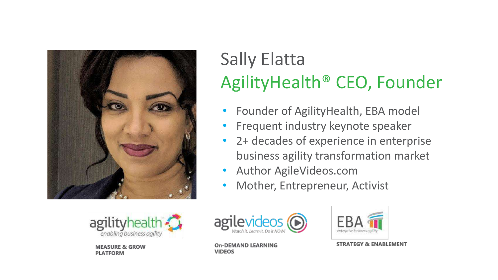



**MEASURE & GROW PLATFORM** 

# Sally Elatta AgilityHealth® CEO, Founder

- Founder of AgilityHealth, EBA model
- Frequent industry keynote speaker
- 2+ decades of experience in enterprise business agility transformation market
- Author AgileVideos.com
- Mother, Entrepreneur, Activist



**On-DEMAND LEARNING VIDEOS** 



**STRATEGY & ENABLEMENT**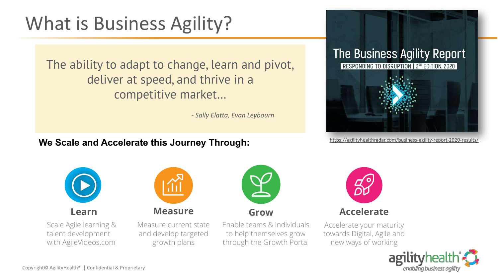## What is Business Agility?

The ability to adapt to change, learn and pivot, deliver at speed, and thrive in a competitive market…

*- Sally Elatta, Evan Leybourn*

#### We Scale and Accelerate this Journey Through: <https://agilityhealthradar.com/business-agility-report-2020-results/>







Scale Agile learning & talent development with AgileVideos.com

**Learn Measure Grow Accelerate** Measure current state and develop targeted growth plans

Enable teams & individuals to help themselves grow through the Growth Portal



Accelerate your maturity towards Digital, Agile and new ways of working

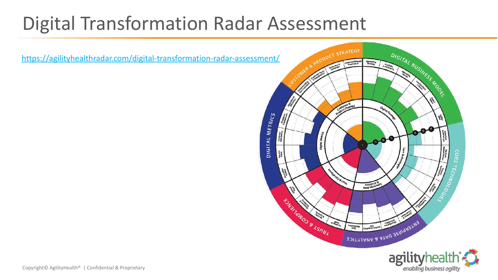## Digital Transformation Radar Assessment

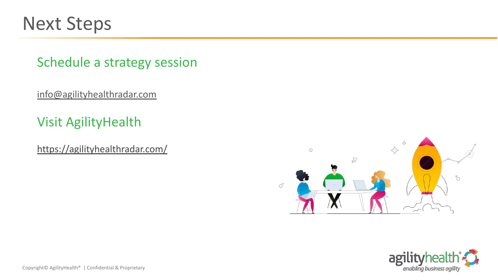

#### Schedule a strategy session

[info@agilityhealthradar.com](mailto:info@agilityhealthradar.com)

#### Visit AgilityHealth

<https://agilityhealthradar.com/>